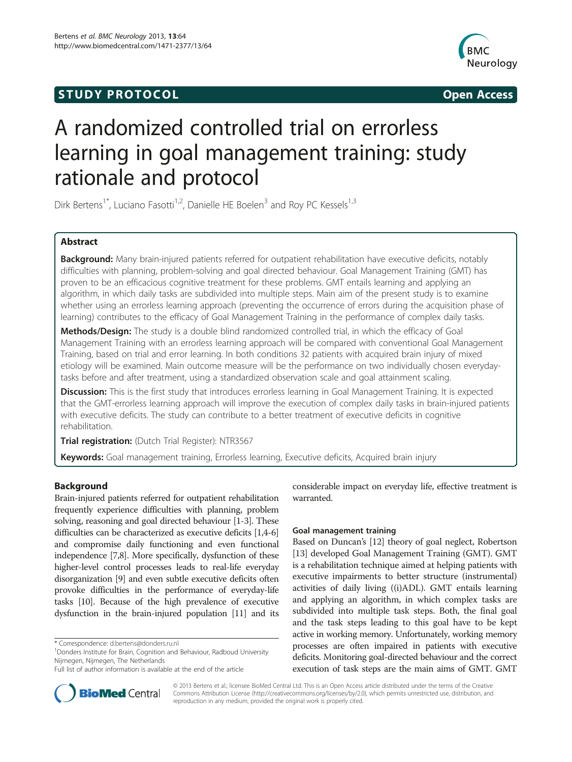## **STUDY PROTOCOL** And the set of the set of the set of the set of the set of the set of the set of the set of the set of the set of the set of the set of the set of the set of the set of the set of the set of the set of the



# A randomized controlled trial on errorless learning in goal management training: study rationale and protocol

Dirk Bertens<sup>1\*</sup>, Luciano Fasotti<sup>1,2</sup>, Danielle HE Boelen<sup>3</sup> and Roy PC Kessels<sup>1,3</sup>

## Abstract

Background: Many brain-injured patients referred for outpatient rehabilitation have executive deficits, notably difficulties with planning, problem-solving and goal directed behaviour. Goal Management Training (GMT) has proven to be an efficacious cognitive treatment for these problems. GMT entails learning and applying an algorithm, in which daily tasks are subdivided into multiple steps. Main aim of the present study is to examine whether using an errorless learning approach (preventing the occurrence of errors during the acquisition phase of learning) contributes to the efficacy of Goal Management Training in the performance of complex daily tasks.

Methods/Design: The study is a double blind randomized controlled trial, in which the efficacy of Goal Management Training with an errorless learning approach will be compared with conventional Goal Management Training, based on trial and error learning. In both conditions 32 patients with acquired brain injury of mixed etiology will be examined. Main outcome measure will be the performance on two individually chosen everydaytasks before and after treatment, using a standardized observation scale and goal attainment scaling.

Discussion: This is the first study that introduces errorless learning in Goal Management Training. It is expected that the GMT-errorless learning approach will improve the execution of complex daily tasks in brain-injured patients with executive deficits. The study can contribute to a better treatment of executive deficits in cognitive rehabilitation.

Trial registration: (Dutch Trial Register): [NTR3567](http://www.trialregister.nl/trialreg/admin/rctview.asp?TC=3567)

Keywords: Goal management training, Errorless learning, Executive deficits, Acquired brain injury

## Background

Brain-injured patients referred for outpatient rehabilitation frequently experience difficulties with planning, problem solving, reasoning and goal directed behaviour [\[1-3](#page-7-0)]. These difficulties can be characterized as executive deficits [[1,4](#page-7-0)-[6](#page-7-0)] and compromise daily functioning and even functional independence [[7,8](#page-7-0)]. More specifically, dysfunction of these higher-level control processes leads to real-life everyday disorganization [\[9\]](#page-7-0) and even subtle executive deficits often provoke difficulties in the performance of everyday-life tasks [\[10\]](#page-7-0). Because of the high prevalence of executive dysfunction in the brain-injured population [\[11\]](#page-7-0) and its

<sup>1</sup> Donders Institute for Brain, Cognition and Behaviour, Radboud University Nijmegen, Nijmegen, The Netherlands

considerable impact on everyday life, effective treatment is warranted.

## Goal management training

Based on Duncan's [[12](#page-7-0)] theory of goal neglect, Robertson [[13](#page-7-0)] developed Goal Management Training (GMT). GMT is a rehabilitation technique aimed at helping patients with executive impairments to better structure (instrumental) activities of daily living ((i)ADL). GMT entails learning and applying an algorithm, in which complex tasks are subdivided into multiple task steps. Both, the final goal and the task steps leading to this goal have to be kept active in working memory. Unfortunately, working memory processes are often impaired in patients with executive deficits. Monitoring goal-directed behaviour and the correct execution of task steps are the main aims of GMT. GMT



© 2013 Bertens et al.; licensee BioMed Central Ltd. This is an Open Access article distributed under the terms of the Creative Commons Attribution License [\(http://creativecommons.org/licenses/by/2.0\)](http://creativecommons.org/licenses/by/2.0), which permits unrestricted use, distribution, and reproduction in any medium, provided the original work is properly cited.

<sup>\*</sup> Correspondence: [d.bertens@donders.ru.nl](mailto:d.bertens@donders.ru.nl) <sup>1</sup>

Full list of author information is available at the end of the article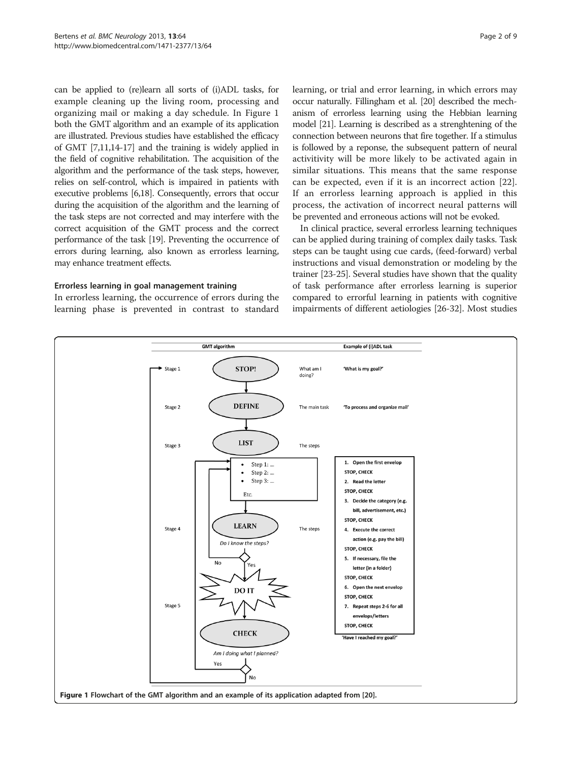can be applied to (re)learn all sorts of (i)ADL tasks, for example cleaning up the living room, processing and organizing mail or making a day schedule. In Figure 1 both the GMT algorithm and an example of its application are illustrated. Previous studies have established the efficacy of GMT [\[7,11](#page-7-0)[,14-17](#page-8-0)] and the training is widely applied in the field of cognitive rehabilitation. The acquisition of the algorithm and the performance of the task steps, however, relies on self-control, which is impaired in patients with executive problems [\[6](#page-7-0)[,18\]](#page-8-0). Consequently, errors that occur during the acquisition of the algorithm and the learning of the task steps are not corrected and may interfere with the correct acquisition of the GMT process and the correct performance of the task [[19](#page-8-0)]. Preventing the occurrence of errors during learning, also known as errorless learning, may enhance treatment effects.

## Errorless learning in goal management training

In errorless learning, the occurrence of errors during the learning phase is prevented in contrast to standard learning, or trial and error learning, in which errors may occur naturally. Fillingham et al. [\[20](#page-8-0)] described the mechanism of errorless learning using the Hebbian learning model [\[21\]](#page-8-0). Learning is described as a strenghtening of the connection between neurons that fire together. If a stimulus is followed by a reponse, the subsequent pattern of neural activitivity will be more likely to be activated again in similar situations. This means that the same response can be expected, even if it is an incorrect action [\[22](#page-8-0)]. If an errorless learning approach is applied in this process, the activation of incorrect neural patterns will be prevented and erroneous actions will not be evoked.

In clinical practice, several errorless learning techniques can be applied during training of complex daily tasks. Task steps can be taught using cue cards, (feed-forward) verbal instructions and visual demonstration or modeling by the trainer [\[23-25\]](#page-8-0). Several studies have shown that the quality of task performance after errorless learning is superior compared to errorful learning in patients with cognitive impairments of different aetiologies [\[26-32](#page-8-0)]. Most studies

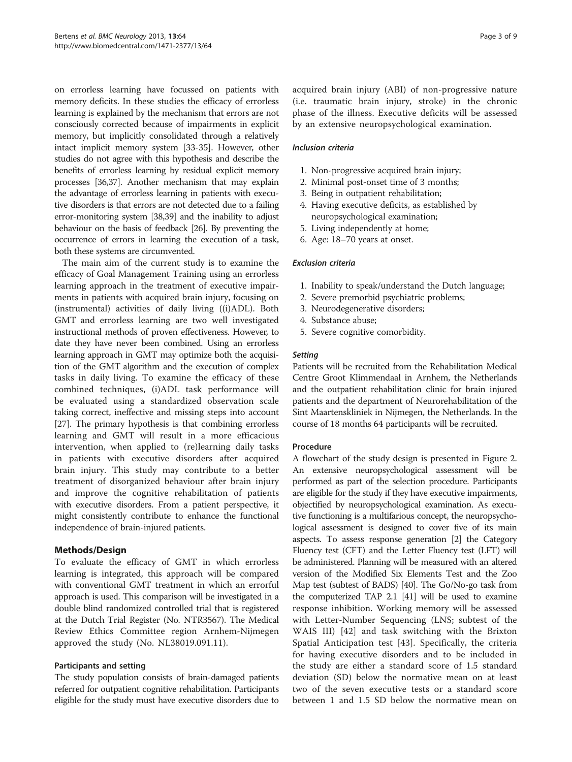on errorless learning have focussed on patients with memory deficits. In these studies the efficacy of errorless learning is explained by the mechanism that errors are not consciously corrected because of impairments in explicit memory, but implicitly consolidated through a relatively intact implicit memory system [[33](#page-8-0)-[35\]](#page-8-0). However, other studies do not agree with this hypothesis and describe the benefits of errorless learning by residual explicit memory processes [[36,37](#page-8-0)]. Another mechanism that may explain the advantage of errorless learning in patients with executive disorders is that errors are not detected due to a failing error-monitoring system [\[38,39\]](#page-8-0) and the inability to adjust behaviour on the basis of feedback [\[26](#page-8-0)]. By preventing the occurrence of errors in learning the execution of a task, both these systems are circumvented.

The main aim of the current study is to examine the efficacy of Goal Management Training using an errorless learning approach in the treatment of executive impairments in patients with acquired brain injury, focusing on (instrumental) activities of daily living ((i)ADL). Both GMT and errorless learning are two well investigated instructional methods of proven effectiveness. However, to date they have never been combined. Using an errorless learning approach in GMT may optimize both the acquisition of the GMT algorithm and the execution of complex tasks in daily living. To examine the efficacy of these combined techniques, (i)ADL task performance will be evaluated using a standardized observation scale taking correct, ineffective and missing steps into account [[27](#page-8-0)]. The primary hypothesis is that combining errorless learning and GMT will result in a more efficacious intervention, when applied to (re)learning daily tasks in patients with executive disorders after acquired brain injury. This study may contribute to a better treatment of disorganized behaviour after brain injury and improve the cognitive rehabilitation of patients with executive disorders. From a patient perspective, it might consistently contribute to enhance the functional independence of brain-injured patients.

## Methods/Design

To evaluate the efficacy of GMT in which errorless learning is integrated, this approach will be compared with conventional GMT treatment in which an errorful approach is used. This comparison will be investigated in a double blind randomized controlled trial that is registered at the Dutch Trial Register (No. NTR3567). The Medical Review Ethics Committee region Arnhem-Nijmegen approved the study (No. NL38019.091.11).

## Participants and setting

The study population consists of brain-damaged patients referred for outpatient cognitive rehabilitation. Participants eligible for the study must have executive disorders due to acquired brain injury (ABI) of non-progressive nature (i.e. traumatic brain injury, stroke) in the chronic phase of the illness. Executive deficits will be assessed by an extensive neuropsychological examination.

#### Inclusion criteria

- 1. Non-progressive acquired brain injury;
- 2. Minimal post-onset time of 3 months;
- 3. Being in outpatient rehabilitation;
- 4. Having executive deficits, as established by neuropsychological examination;
- 5. Living independently at home;
- 6. Age: 18–70 years at onset.

## Exclusion criteria

- 1. Inability to speak/understand the Dutch language;
- 2. Severe premorbid psychiatric problems;
- 3. Neurodegenerative disorders;
- 4. Substance abuse;
- 5. Severe cognitive comorbidity.

## **Setting**

Patients will be recruited from the Rehabilitation Medical Centre Groot Klimmendaal in Arnhem, the Netherlands and the outpatient rehabilitation clinic for brain injured patients and the department of Neurorehabilitation of the Sint Maartenskliniek in Nijmegen, the Netherlands. In the course of 18 months 64 participants will be recruited.

## Procedure

A flowchart of the study design is presented in Figure [2](#page-3-0). An extensive neuropsychological assessment will be performed as part of the selection procedure. Participants are eligible for the study if they have executive impairments, objectified by neuropsychological examination. As executive functioning is a multifarious concept, the neuropsychological assessment is designed to cover five of its main aspects. To assess response generation [\[2\]](#page-7-0) the Category Fluency test (CFT) and the Letter Fluency test (LFT) will be administered. Planning will be measured with an altered version of the Modified Six Elements Test and the Zoo Map test (subtest of BADS) [[40](#page-8-0)]. The Go/No-go task from the computerized TAP 2.1 [\[41\]](#page-8-0) will be used to examine response inhibition. Working memory will be assessed with Letter-Number Sequencing (LNS; subtest of the WAIS III) [[42\]](#page-8-0) and task switching with the Brixton Spatial Anticipation test [\[43](#page-8-0)]. Specifically, the criteria for having executive disorders and to be included in the study are either a standard score of 1.5 standard deviation (SD) below the normative mean on at least two of the seven executive tests or a standard score between 1 and 1.5 SD below the normative mean on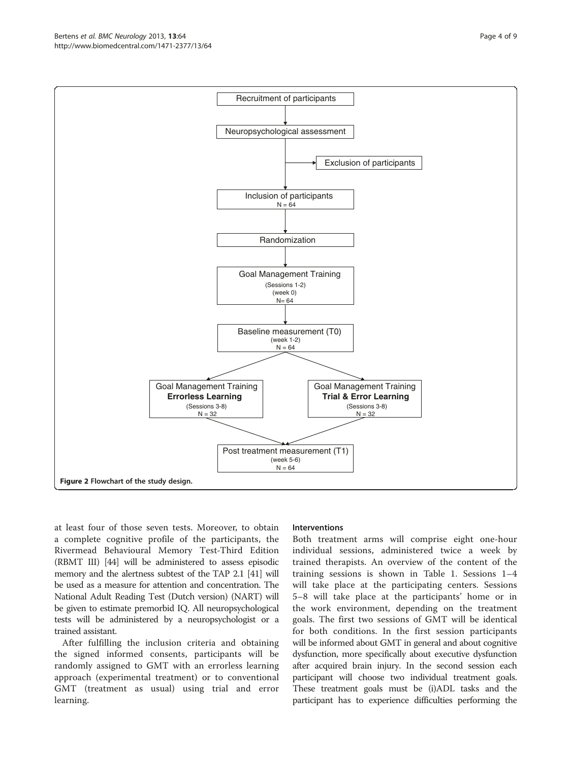at least four of those seven tests. Moreover, to obtain a complete cognitive profile of the participants, the Rivermead Behavioural Memory Test-Third Edition (RBMT III) [[44](#page-8-0)] will be administered to assess episodic memory and the alertness subtest of the TAP 2.1 [[41](#page-8-0)] will be used as a measure for attention and concentration. The National Adult Reading Test (Dutch version) (NART) will be given to estimate premorbid IQ. All neuropsychological tests will be administered by a neuropsychologist or a trained assistant.

After fulfilling the inclusion criteria and obtaining the signed informed consents, participants will be randomly assigned to GMT with an errorless learning approach (experimental treatment) or to conventional GMT (treatment as usual) using trial and error learning.

#### Interventions

Both treatment arms will comprise eight one-hour individual sessions, administered twice a week by trained therapists. An overview of the content of the training sessions is shown in Table [1](#page-4-0). Sessions 1–4 will take place at the participating centers. Sessions 5–8 will take place at the participants' home or in the work environment, depending on the treatment goals. The first two sessions of GMT will be identical for both conditions. In the first session participants will be informed about GMT in general and about cognitive dysfunction, more specifically about executive dysfunction after acquired brain injury. In the second session each participant will choose two individual treatment goals. These treatment goals must be (i)ADL tasks and the participant has to experience difficulties performing the

<span id="page-3-0"></span>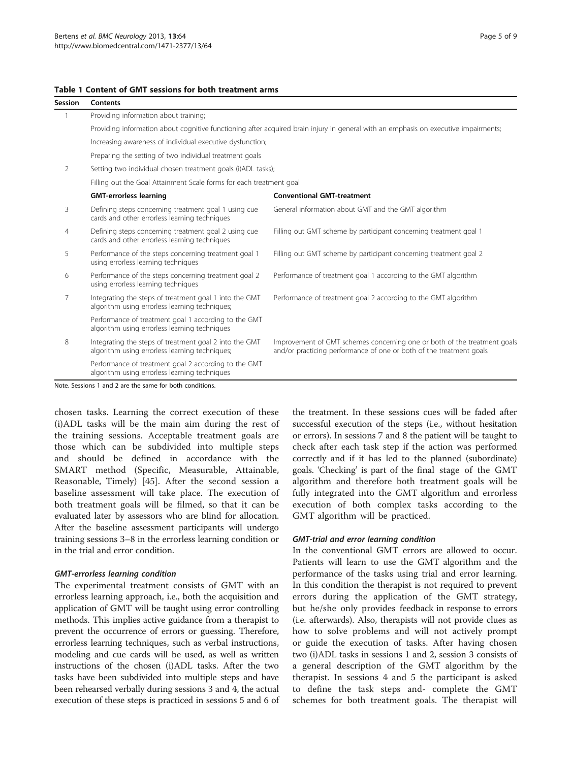<span id="page-4-0"></span>

|  |  |  |  | Table 1 Content of GMT sessions for both treatment arms |  |
|--|--|--|--|---------------------------------------------------------|--|
|  |  |  |  |                                                         |  |

| <b>Session</b> | Contents                                                                                                                            |                                                                                                                                                 |  |  |  |  |  |
|----------------|-------------------------------------------------------------------------------------------------------------------------------------|-------------------------------------------------------------------------------------------------------------------------------------------------|--|--|--|--|--|
| $\mathbf{1}$   | Providing information about training;                                                                                               |                                                                                                                                                 |  |  |  |  |  |
|                | Providing information about cognitive functioning after acquired brain injury in general with an emphasis on executive impairments; |                                                                                                                                                 |  |  |  |  |  |
|                | Increasing awareness of individual executive dysfunction;                                                                           |                                                                                                                                                 |  |  |  |  |  |
|                | Preparing the setting of two individual treatment goals                                                                             |                                                                                                                                                 |  |  |  |  |  |
| 2              | Setting two individual chosen treatment goals (i)ADL tasks);                                                                        |                                                                                                                                                 |  |  |  |  |  |
|                | Filling out the Goal Attainment Scale forms for each treatment goal                                                                 |                                                                                                                                                 |  |  |  |  |  |
|                | <b>GMT-errorless learning</b>                                                                                                       | <b>Conventional GMT-treatment</b>                                                                                                               |  |  |  |  |  |
| 3              | Defining steps concerning treatment goal 1 using cue<br>cards and other errorless learning techniques                               | General information about GMT and the GMT algorithm                                                                                             |  |  |  |  |  |
| 4              | Defining steps concerning treatment goal 2 using cue<br>cards and other errorless learning techniques                               | Filling out GMT scheme by participant concerning treatment goal 1                                                                               |  |  |  |  |  |
| 5              | Performance of the steps concerning treatment goal 1<br>using errorless learning techniques                                         | Filling out GMT scheme by participant concerning treatment goal 2                                                                               |  |  |  |  |  |
| 6              | Performance of the steps concerning treatment goal 2<br>using errorless learning techniques                                         | Performance of treatment goal 1 according to the GMT algorithm                                                                                  |  |  |  |  |  |
| 7              | Integrating the steps of treatment goal 1 into the GMT<br>algorithm using errorless learning techniques;                            | Performance of treatment goal 2 according to the GMT algorithm                                                                                  |  |  |  |  |  |
|                | Performance of treatment goal 1 according to the GMT<br>algorithm using errorless learning techniques                               |                                                                                                                                                 |  |  |  |  |  |
| 8              | Integrating the steps of treatment goal 2 into the GMT<br>algorithm using errorless learning techniques;                            | Improvement of GMT schemes concerning one or both of the treatment goals<br>and/or practicing performance of one or both of the treatment goals |  |  |  |  |  |
|                | Performance of treatment goal 2 according to the GMT<br>algorithm using errorless learning techniques                               |                                                                                                                                                 |  |  |  |  |  |

Note. Sessions 1 and 2 are the same for both conditions.

chosen tasks. Learning the correct execution of these (i)ADL tasks will be the main aim during the rest of the training sessions. Acceptable treatment goals are those which can be subdivided into multiple steps and should be defined in accordance with the SMART method (Specific, Measurable, Attainable, Reasonable, Timely) [\[45](#page-8-0)]. After the second session a baseline assessment will take place. The execution of both treatment goals will be filmed, so that it can be evaluated later by assessors who are blind for allocation. After the baseline assessment participants will undergo training sessions 3–8 in the errorless learning condition or in the trial and error condition.

#### GMT-errorless learning condition

The experimental treatment consists of GMT with an errorless learning approach, i.e., both the acquisition and application of GMT will be taught using error controlling methods. This implies active guidance from a therapist to prevent the occurrence of errors or guessing. Therefore, errorless learning techniques, such as verbal instructions, modeling and cue cards will be used, as well as written instructions of the chosen (i)ADL tasks. After the two tasks have been subdivided into multiple steps and have been rehearsed verbally during sessions 3 and 4, the actual execution of these steps is practiced in sessions 5 and 6 of

the treatment. In these sessions cues will be faded after successful execution of the steps (i.e., without hesitation or errors). In sessions 7 and 8 the patient will be taught to check after each task step if the action was performed correctly and if it has led to the planned (subordinate) goals. 'Checking' is part of the final stage of the GMT algorithm and therefore both treatment goals will be fully integrated into the GMT algorithm and errorless execution of both complex tasks according to the GMT algorithm will be practiced.

## GMT-trial and error learning condition

In the conventional GMT errors are allowed to occur. Patients will learn to use the GMT algorithm and the performance of the tasks using trial and error learning. In this condition the therapist is not required to prevent errors during the application of the GMT strategy, but he/she only provides feedback in response to errors (i.e. afterwards). Also, therapists will not provide clues as how to solve problems and will not actively prompt or guide the execution of tasks. After having chosen two (i)ADL tasks in sessions 1 and 2, session 3 consists of a general description of the GMT algorithm by the therapist. In sessions 4 and 5 the participant is asked to define the task steps and- complete the GMT schemes for both treatment goals. The therapist will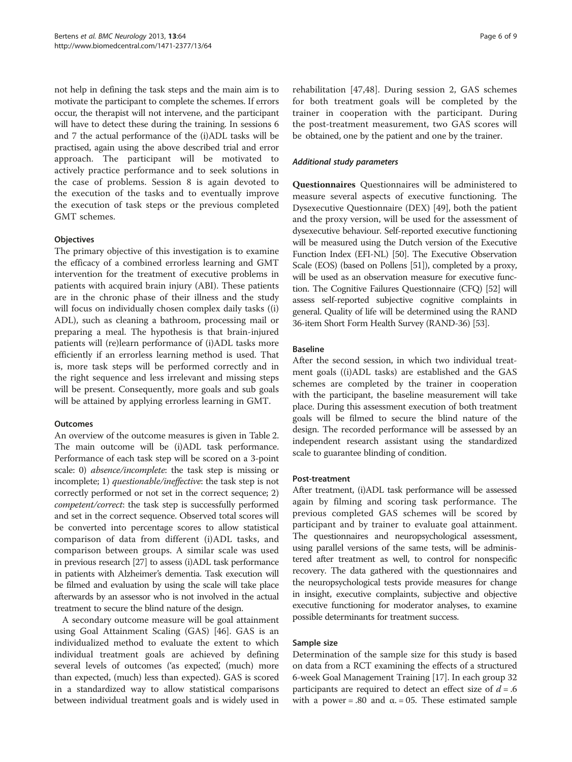not help in defining the task steps and the main aim is to motivate the participant to complete the schemes. If errors occur, the therapist will not intervene, and the participant will have to detect these during the training. In sessions 6 and 7 the actual performance of the (i)ADL tasks will be practised, again using the above described trial and error approach. The participant will be motivated to actively practice performance and to seek solutions in the case of problems. Session 8 is again devoted to the execution of the tasks and to eventually improve the execution of task steps or the previous completed GMT schemes.

#### **Objectives**

The primary objective of this investigation is to examine the efficacy of a combined errorless learning and GMT intervention for the treatment of executive problems in patients with acquired brain injury (ABI). These patients are in the chronic phase of their illness and the study will focus on individually chosen complex daily tasks ((i) ADL), such as cleaning a bathroom, processing mail or preparing a meal. The hypothesis is that brain-injured patients will (re)learn performance of (i)ADL tasks more efficiently if an errorless learning method is used. That is, more task steps will be performed correctly and in the right sequence and less irrelevant and missing steps will be present. Consequently, more goals and sub goals will be attained by applying errorless learning in GMT.

## **Outcomes**

An overview of the outcome measures is given in Table [2](#page-6-0). The main outcome will be (i)ADL task performance. Performance of each task step will be scored on a 3-point scale: 0) absence/incomplete: the task step is missing or incomplete; 1) questionable/ineffective: the task step is not correctly performed or not set in the correct sequence; 2) competent/correct: the task step is successfully performed and set in the correct sequence. Observed total scores will be converted into percentage scores to allow statistical comparison of data from different (i)ADL tasks, and comparison between groups. A similar scale was used in previous research [\[27](#page-8-0)] to assess (i)ADL task performance in patients with Alzheimer's dementia. Task execution will be filmed and evaluation by using the scale will take place afterwards by an assessor who is not involved in the actual treatment to secure the blind nature of the design.

A secondary outcome measure will be goal attainment using Goal Attainment Scaling (GAS) [[46\]](#page-8-0). GAS is an individualized method to evaluate the extent to which individual treatment goals are achieved by defining several levels of outcomes ('as expected', (much) more than expected, (much) less than expected). GAS is scored in a standardized way to allow statistical comparisons between individual treatment goals and is widely used in

rehabilitation [[47,48](#page-8-0)]. During session 2, GAS schemes for both treatment goals will be completed by the trainer in cooperation with the participant. During the post-treatment measurement, two GAS scores will be obtained, one by the patient and one by the trainer.

#### Additional study parameters

Questionnaires Questionnaires will be administered to measure several aspects of executive functioning. The Dysexecutive Questionnaire (DEX) [\[49](#page-8-0)], both the patient and the proxy version, will be used for the assessment of dysexecutive behaviour. Self-reported executive functioning will be measured using the Dutch version of the Executive Function Index (EFI-NL) [[50\]](#page-8-0). The Executive Observation Scale (EOS) (based on Pollens [\[51\]](#page-8-0)), completed by a proxy, will be used as an observation measure for executive function. The Cognitive Failures Questionnaire (CFQ) [[52](#page-8-0)] will assess self-reported subjective cognitive complaints in general. Quality of life will be determined using the RAND 36-item Short Form Health Survey (RAND-36) [\[53\]](#page-8-0).

#### Baseline

After the second session, in which two individual treatment goals ((i)ADL tasks) are established and the GAS schemes are completed by the trainer in cooperation with the participant, the baseline measurement will take place. During this assessment execution of both treatment goals will be filmed to secure the blind nature of the design. The recorded performance will be assessed by an independent research assistant using the standardized scale to guarantee blinding of condition.

#### Post-treatment

After treatment, (i)ADL task performance will be assessed again by filming and scoring task performance. The previous completed GAS schemes will be scored by participant and by trainer to evaluate goal attainment. The questionnaires and neuropsychological assessment, using parallel versions of the same tests, will be administered after treatment as well, to control for nonspecific recovery. The data gathered with the questionnaires and the neuropsychological tests provide measures for change in insight, executive complaints, subjective and objective executive functioning for moderator analyses, to examine possible determinants for treatment success.

#### Sample size

Determination of the sample size for this study is based on data from a RCT examining the effects of a structured 6-week Goal Management Training [\[17\]](#page-8-0). In each group 32 participants are required to detect an effect size of  $d = .6$ with a power = .80 and  $\alpha$  = 05. These estimated sample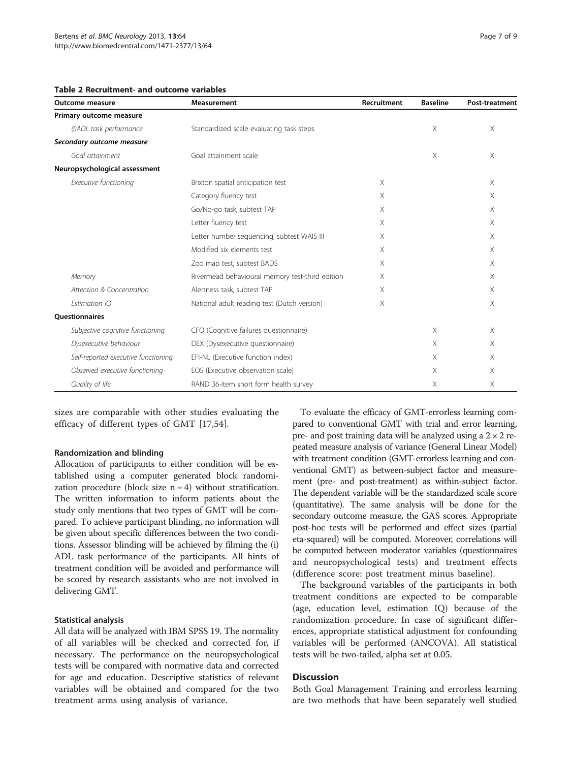<span id="page-6-0"></span>

| <b>Outcome measure</b>              | <b>Measurement</b>                              | Recruitment | <b>Baseline</b> | Post-treatment |
|-------------------------------------|-------------------------------------------------|-------------|-----------------|----------------|
| Primary outcome measure             |                                                 |             |                 |                |
| (i)ADL task performance             | Standardized scale evaluating task steps        |             | X               | X              |
| Secondary outcome measure           |                                                 |             |                 |                |
| Goal attainment                     | Goal attainment scale                           |             | X               | X              |
| Neuropsychological assessment       |                                                 |             |                 |                |
| Executive functioning               | Brixton spatial anticipation test               | X           |                 | X              |
|                                     | Category fluency test                           | Χ           |                 | X              |
|                                     | Go/No-go task, subtest TAP                      | X           |                 | X              |
|                                     | Letter fluency test                             | Χ           |                 | $\times$       |
|                                     | Letter number sequencing, subtest WAIS III      | X.          |                 | X              |
|                                     | Modified six elements test                      | Χ           |                 | X              |
|                                     | Zoo map test, subtest BADS                      | X           |                 | X              |
| Memory                              | Rivermead behavioural memory test-third edition | X           |                 | X              |
| Attention & Concentration           | Alertness task, subtest TAP                     | X           |                 | $\times$       |
| Estimation IO                       | National adult reading test (Dutch version)     | Χ           |                 | X              |
| <b>Ouestionnaires</b>               |                                                 |             |                 |                |
| Subjective cognitive functioning    | CFQ (Cognitive failures questionnaire)          |             | $\times$        | X              |
| Dysexecutive behaviour              | DEX (Dysexecutive questionnaire)                |             | Χ               | Χ              |
| Self-reported executive functioning | EFI-NL (Executive function index)               |             | Χ               | X              |
| Observed executive functioning      | EOS (Executive observation scale)               |             | X               | Χ              |
| Quality of life                     | RAND 36-item short form health survey           |             | X               | X              |

sizes are comparable with other studies evaluating the efficacy of different types of GMT [[17,54\]](#page-8-0).

#### Randomization and blinding

Allocation of participants to either condition will be established using a computer generated block randomization procedure (block size  $n = 4$ ) without stratification. The written information to inform patients about the study only mentions that two types of GMT will be compared. To achieve participant blinding, no information will be given about specific differences between the two conditions. Assessor blinding will be achieved by filming the (i) ADL task performance of the participants. All hints of treatment condition will be avoided and performance will be scored by research assistants who are not involved in delivering GMT.

#### Statistical analysis

All data will be analyzed with IBM SPSS 19. The normality of all variables will be checked and corrected for, if necessary. The performance on the neuropsychological tests will be compared with normative data and corrected for age and education. Descriptive statistics of relevant variables will be obtained and compared for the two treatment arms using analysis of variance.

To evaluate the efficacy of GMT-errorless learning compared to conventional GMT with trial and error learning, pre- and post training data will be analyzed using a  $2 \times 2$  repeated measure analysis of variance (General Linear Model) with treatment condition (GMT-errorless learning and conventional GMT) as between-subject factor and measurement (pre- and post-treatment) as within-subject factor. The dependent variable will be the standardized scale score (quantitative). The same analysis will be done for the secondary outcome measure, the GAS scores. Appropriate post-hoc tests will be performed and effect sizes (partial eta-squared) will be computed. Moreover, correlations will be computed between moderator variables (questionnaires and neuropsychological tests) and treatment effects (difference score: post treatment minus baseline).

The background variables of the participants in both treatment conditions are expected to be comparable (age, education level, estimation IQ) because of the randomization procedure. In case of significant differences, appropriate statistical adjustment for confounding variables will be performed (ANCOVA). All statistical tests will be two-tailed, alpha set at 0.05.

#### **Discussion**

Both Goal Management Training and errorless learning are two methods that have been separately well studied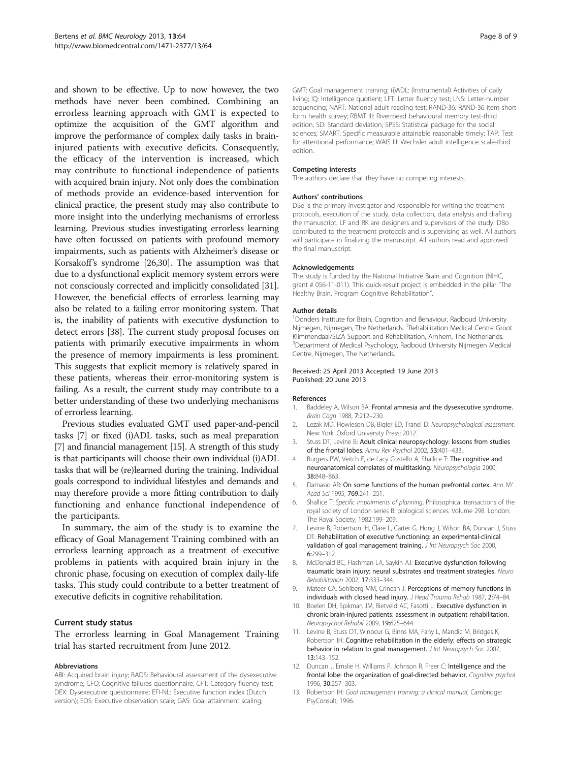<span id="page-7-0"></span>and shown to be effective. Up to now however, the two methods have never been combined. Combining an errorless learning approach with GMT is expected to optimize the acquisition of the GMT algorithm and improve the performance of complex daily tasks in braininjured patients with executive deficits. Consequently, the efficacy of the intervention is increased, which may contribute to functional independence of patients with acquired brain injury. Not only does the combination of methods provide an evidence-based intervention for clinical practice, the present study may also contribute to more insight into the underlying mechanisms of errorless learning. Previous studies investigating errorless learning have often focussed on patients with profound memory impairments, such as patients with Alzheimer's disease or Korsakoff's syndrome [[26](#page-8-0),[30](#page-8-0)]. The assumption was that due to a dysfunctional explicit memory system errors were not consciously corrected and implicitly consolidated [[31](#page-8-0)]. However, the beneficial effects of errorless learning may also be related to a failing error monitoring system. That is, the inability of patients with executive dysfunction to detect errors [[38](#page-8-0)]. The current study proposal focuses on patients with primarily executive impairments in whom the presence of memory impairments is less prominent. This suggests that explicit memory is relatively spared in these patients, whereas their error-monitoring system is failing. As a result, the current study may contribute to a better understanding of these two underlying mechanisms of errorless learning.

Previous studies evaluated GMT used paper-and-pencil tasks [7] or fixed (i)ADL tasks, such as meal preparation [7] and financial management [\[15\]](#page-8-0). A strength of this study is that participants will choose their own individual (i)ADL tasks that will be (re)learned during the training. Individual goals correspond to individual lifestyles and demands and may therefore provide a more fitting contribution to daily functioning and enhance functional independence of the participants.

In summary, the aim of the study is to examine the efficacy of Goal Management Training combined with an errorless learning approach as a treatment of executive problems in patients with acquired brain injury in the chronic phase, focusing on execution of complex daily-life tasks. This study could contribute to a better treatment of executive deficits in cognitive rehabilitation.

#### Current study status

The errorless learning in Goal Management Training trial has started recruitment from June 2012.

#### Abbreviations

ABI: Acquired brain injury; BADS: Behavioural assessment of the dysexecutive syndrome; CFQ: Cognitive failures questionnaire; CFT: Category fluency test; DEX: Dysexecutive questionnaire; EFI-NL: Executive function index (Dutch version); EOS: Executive observation scale; GAS: Goal attainment scaling;

GMT: Goal management training; (i)ADL: (Instrumental) Activities of daily living; IQ: Intelligence quotient; LFT: Letter fluency test; LNS: Letter-number sequencing; NART: National adult reading test; RAND-36: RAND-36 item short form health survey; RBMT III: Rivermead behavioural memory test-third edition; SD: Standard deviation; SPSS: Statistical package for the social sciences; SMART: Specific measurable attainable reasonable timely; TAP: Test for attentional performance; WAIS III: Wechsler adult intelligence scale-third edition.

#### Competing interests

The authors declare that they have no competing interests.

#### Authors' contributions

DBe is the primary investigator and responsible for writing the treatment protocols, execution of the study, data collection, data analysis and drafting the manuscript. LF and RK are designers and supervisors of the study. DBo contributed to the treatment protocols and is supervising as well. All authors will participate in finalizing the manuscript. All authors read and approved the final manuscript.

#### Acknowledgements

The study is funded by the National Initiative Brain and Cognition (NIHC, grant # 056-11-011). This quick-result project is embedded in the pillar "The Healthy Brain, Program Cognitive Rehabilitation".

#### Author details

<sup>1</sup> Donders Institute for Brain, Cognition and Behaviour, Radboud University Nijmegen, Nijmegen, The Netherlands. <sup>2</sup>Rehabilitation Medical Centre Groot Klimmendaal/SIZA Support and Rehabilitation, Arnhem, The Netherlands. 3 Department of Medical Psychology, Radboud University Nijmegen Medical Centre, Nijmegen, The Netherlands.

#### Received: 25 April 2013 Accepted: 19 June 2013 Published: 20 June 2013

#### References

- 1. Baddeley A, Wilson BA: Frontal amnesia and the dysexecutive syndrome. Brain Cogn 1988, 7:212–230.
- 2. Lezak MD, Howieson DB, Bigler ED, Tranel D: Neuropsychological assessment. New York: Oxford University Press; 2012.
- 3. Stuss DT, Levine B: Adult clinical neuropsychology: lessons from studies of the frontal lobes. Annu Rev Psychol 2002, 53:401–433.
- 4. Burgess PW, Veitch E, de Lacy Costello A, Shallice T: The cognitive and neuroanatomical correlates of multitasking. Neuropsychologia 2000, 38:848–863.
- 5. Damasio AR: On some functions of the human prefrontal cortex. Ann NY Acad Sci 1995, 769:241–251.
- 6. Shallice T: Specific impairments of planning, Philosophical transactions of the royal society of London series B: biological sciences. Volume 298. London: The Royal Society; 1982:199–209.
- 7. Levine B, Robertson IH, Clare L, Carter G, Hong J, Wilson BA, Duncan J, Stuss DT: Rehabilitation of executive functioning: an experimental-clinical validation of goal management training. J Int Neuropsych Soc 2000, 6:299–312.
- McDonald BC, Flashman LA, Saykin AJ: Executive dysfunction following traumatic brain injury: neural substrates and treatment strategies. Neuro Rehabilitation 2002, 17:333–344.
- 9. Mateer CA, Sohlberg MM, Crinean J: Perceptions of memory functions in individuals with closed head injury. J Head Trauma Rehab 1987, 2:74-84.
- 10. Boelen DH, Spikman JM, Rietveld AC, Fasotti L: Executive dysfunction in chronic brain-injured patients: assessment in outpatient rehabilitation. Neuropsychol Rehabil 2009, 19:625–644.
- 11. Levine B, Stuss DT, Winocur G, Binns MA, Fahy L, Mandic M, Bridges K, Robertson IH: Cognitive rehabilitation in the elderly: effects on strategic behavior in relation to goal management. J Int Neuropsych Soc 2007, 13:143–152.
- 12. Duncan J, Emslie H, Williams P, Johnson R, Freer C: Intelligence and the frontal lobe: the organization of goal-directed behavior. Cognitive psychol 1996, 30:257–303.
- 13. Robertson IH: Goal management training: a clinical manual. Cambridge: PsyConsult; 1996.